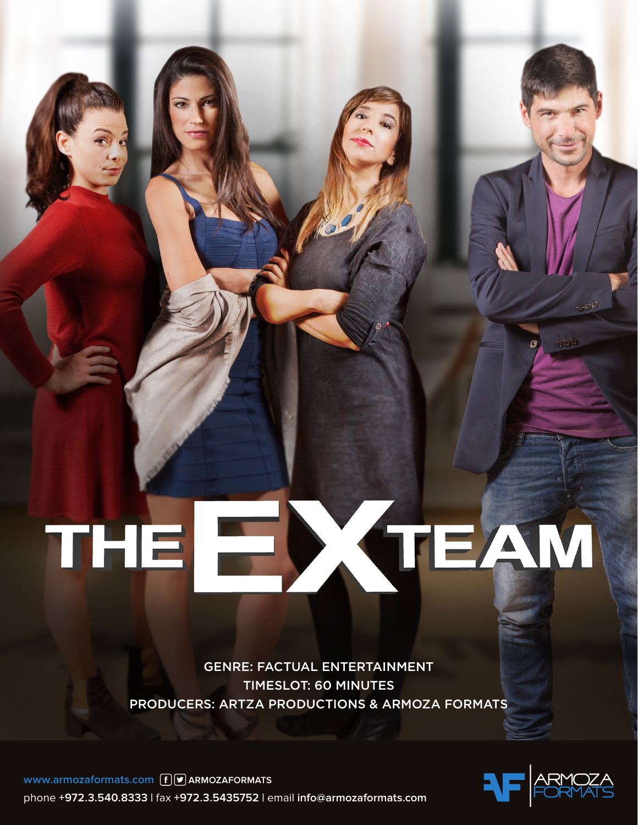**GENRE: FACTUAL ENTERTAINMENT** TIMESLOT: 60 MINUTES PRODUCERS: ARTZA PRODUCTIONS & ARMOZA FORMATS

EXTEAM



THE